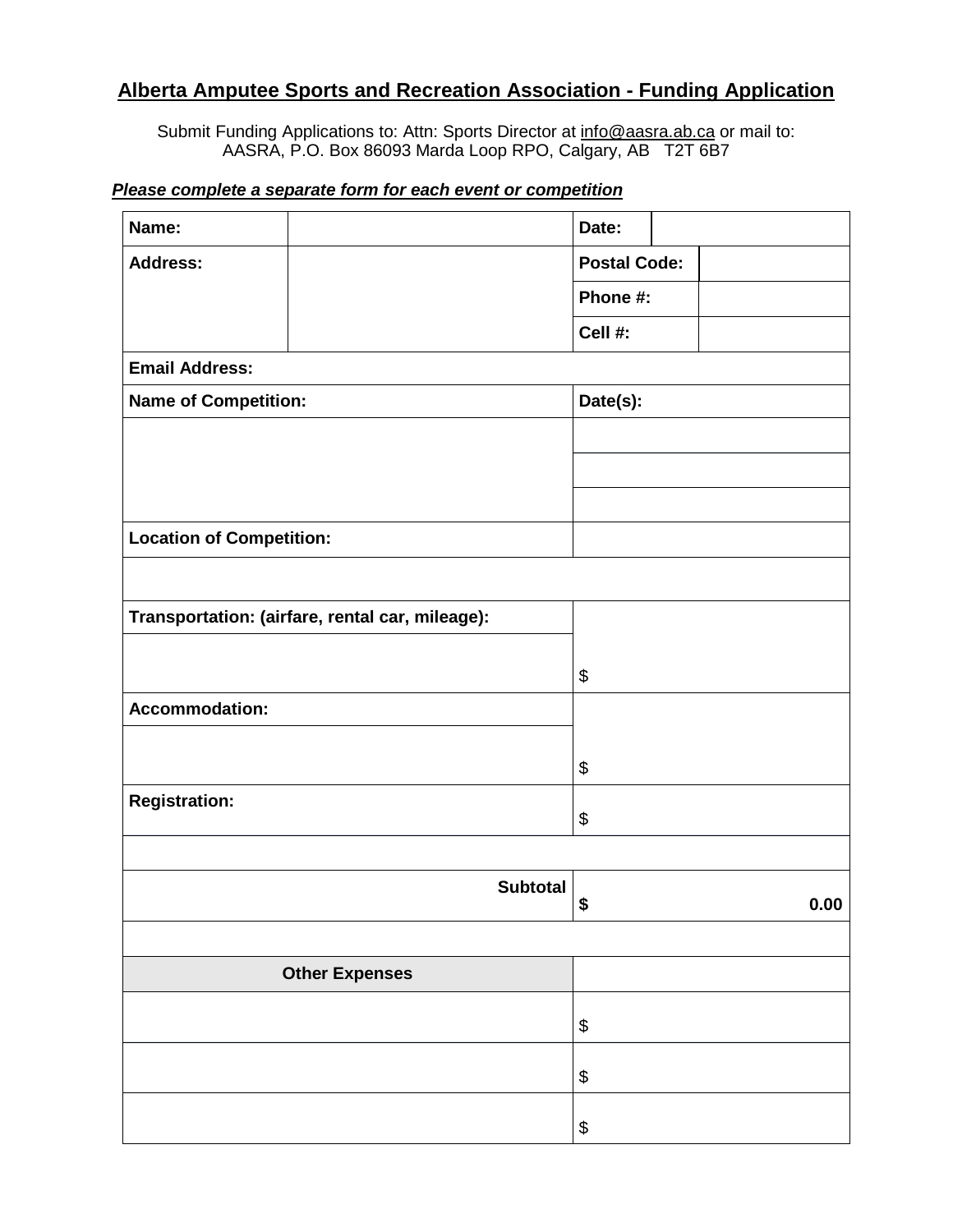## **Alberta Amputee Sports and Recreation Association - Funding Application**

Submit Funding Applications to: Attn: Sports Director at [info@aasra.ab.ca](mailto:info@aasra.ab.ca) or mail to: AASRA, P.O. Box 86093 Marda Loop RPO, Calgary, AB T2T 6B7

## *Please complete a separate form for each event or competition*

| Name:                                           |  |                 | Date:               |  |      |  |
|-------------------------------------------------|--|-----------------|---------------------|--|------|--|
| <b>Address:</b>                                 |  |                 | <b>Postal Code:</b> |  |      |  |
|                                                 |  |                 | Phone #:            |  |      |  |
|                                                 |  |                 | Cell #:             |  |      |  |
| <b>Email Address:</b>                           |  |                 |                     |  |      |  |
| <b>Name of Competition:</b>                     |  |                 | Date(s):            |  |      |  |
|                                                 |  |                 |                     |  |      |  |
|                                                 |  |                 |                     |  |      |  |
|                                                 |  |                 |                     |  |      |  |
| <b>Location of Competition:</b>                 |  |                 |                     |  |      |  |
|                                                 |  |                 |                     |  |      |  |
| Transportation: (airfare, rental car, mileage): |  |                 |                     |  |      |  |
|                                                 |  |                 |                     |  |      |  |
|                                                 |  |                 | \$                  |  |      |  |
| <b>Accommodation:</b>                           |  |                 |                     |  |      |  |
|                                                 |  |                 | \$                  |  |      |  |
| <b>Registration:</b>                            |  |                 |                     |  |      |  |
|                                                 |  |                 | \$                  |  |      |  |
|                                                 |  |                 |                     |  |      |  |
|                                                 |  | <b>Subtotal</b> | \$                  |  | 0.00 |  |
|                                                 |  |                 |                     |  |      |  |
| <b>Other Expenses</b>                           |  |                 |                     |  |      |  |
|                                                 |  |                 | \$                  |  |      |  |
|                                                 |  |                 | \$                  |  |      |  |
|                                                 |  |                 |                     |  |      |  |
|                                                 |  |                 | \$                  |  |      |  |